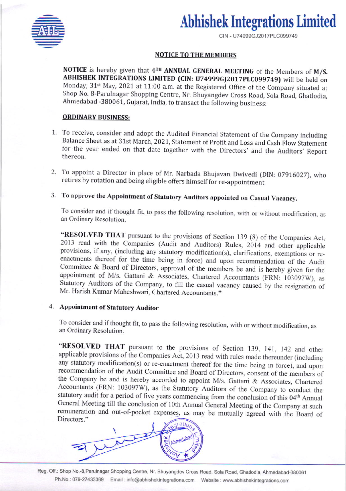# Abhishek Integrations Limited



CIN - U74999GJ2017PLC099749

## NOTICE TO THE MEMBERS

NOTICE is hereby given that 4<sup>TH</sup> ANNUAL GENERAL MEETING of the Members of M/S. ABHISHEK INTEGRATIONS LIMITED (CIN: U74999GJ2017PLC099749) will be held on Monday, 31<sup>st</sup> May, 2021 at 11:00 a.m. at the Registered Office of the Company situated at Shop No- 8-Parulnagar Shopping Centre, Nr. Bhuyangdev Cross Road, Sola Road, Ghatlodia, Ahmedabad -380061, Gujarat, India, to transact the following business:

### **ORDINARY BUSINESS:**

- 1. To receive, consider and adopt the Audited Financial Statement of the Company including Balance Sheet as at 31st March, 2021, Statement of Profit and Loss and Cash Flow Statement for the year ended on that date together with the Directors' and the Auditors' Report thereon.
- 2. To appoint a Director in place of Mr. Narbada Bhujavan Dwivedi (DIN: 07916027), who retires by rotation and being eligible offers himself for re-appointment.

# 3. To approve the Appointment of Statutory Auditors appointed on Casual Vacancy.

To consider and if thought fit, to pass the following resolution, with or without modification, as an Ordinary Resolution.

"RESOLVED THAT pursuant to the provisions of Section 139 (8) of the Companies Act, 2013 read with the Companies (Audit and Auditors) Rules, 2014 and other applicable provisions, if any, (including any statutory modificatio enactments thereof for the time being in force) and upon recommendation of the Audit<br>Committee & Board of Directors, approval of the members be and is hereby given for the appointment of M/s. Gattani & Associates, Chartered Accountants (FRN: 103097W), as Statutory Auditors of the Company, to fill the casual vacancy caused by the resignation of Mr. Harish Kumar Maheshwari, Chartered Accountan

## 4. Appointment of Statutory Auditor

To consider and if thought fit, to pass the following resolution, with or without modification, as an Ordinary Resolution.

"RESOLVED THAT pursuant to the provisions of Section 139, 141, 142 and other applicable provisions of the Companies Act, 2013 read with rules made thereunder (including any statutory modification(s) or re-enactment thereof for the time being in force), and upon<br>recommendation of the Audit Committee and Board of Directors, consent of the members of the Company be and is hereby accorded to appoint M/s. Gattani & Associates, Chartered Accountants (FRN: I03097W), as the Statutory Auditors of the Company to conduct the statutory audit for a period of five years commencing from the conclusion of this 04<sup>th</sup> Annual General Meeting till the conclusion of 10th Annual General Meeting of the Company at such remuneration and out-of-pocket expenses, as may be mutually agreed with the Board of Directors."



Reg. Off.: Shop No.-8,Parulnagar Shopping Centre, Nr. Bhuyangdev Cross Road, Sola Road, Ghatlodia, Ahmedabad-380061 Ph.No.: 079-27433369 Email : info@abhishekintegrations.com Website : www.abhishekintegrations.com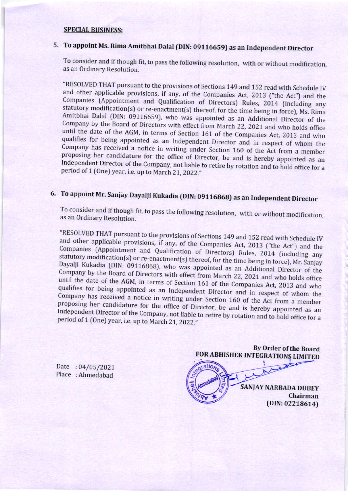#### SPECIAL BUSINESS:

# 5. To appoint Ms. Rima Amitbhai Dalal (DIN: 09116659) as an Independent Director

To consider and if though fit, to pass the following resolution, with or without modification, as an Ordinary Resolution.

"RESOLVED THAT pursuant to the provisions of Sections 149 and 152 read with Schedule IV and other applicable provisions, if any, of the Companies Act, 2013 ("the Act") and the Companies (Appointment and Qualification of Directors) Rules, 2014 (including any statutory modification(s) or re-enactment(s) thereof, for the time being in force), Ms. Rima Amitbhai Dalal (DIN: 09116659), who was appoint period of 1 (One) year, i.e. up to March 21, 2022."

# 6. To appoint Mr. Sanjay Dayalji Kukadia (DIN: 09116868) as an Independent Director

To consider and if though fit, to pass the following resolution, with or without modification, as an Ordinary Resolution.

"RESOLVED THAT pursuant to the provisions of Sections 149 and 152 read with Schedule IV and other applicable provisions, if any, of the Companies Act, 2013 ("the Act") and the Companies (Appointment and Qualification of Directors) Rules, 2014 (including any statutory modification(s) or re-enactment(s) thereof, for the time being in force), Mr. Sanjay Dayalji Kukadia (DIN: 09116868), who was appointed as an Additional Director of the Company by the Board of Directors with effect from March 22, 2021 and who holds office until by the Board of Directors with effect from March 22, 2021 and who holds office<br>the date of the AGM, in terms of Section 161 of the Companies Act, 2013 and who<br>jes for being appointed as an Independent qualifies for being appointed as an Independent Director and in respect of whom the<br>Company has received a notice in writing work of with the spect of whom the Company has received a notice in writing under Section 160 of the Act from a member proposing has received a notice in writing under Section 160 of the Act from a member<br>her candidature for the office of Director, be and is hereby appointed as an<br>nt Director of the Company not liable to Independent Director of the Company, not liable to retire by rotation and to hold office for a period of 1 (One) year, i.e. up to March 21.2022."

Date : 04/05/2021 Place Ahmedabad

By Order of the Board FOR ABHISHEK INTEGRATIONS LIMITED \ $\overline{P}$  $\overline{r}$ 

SANJAY NARBADA DUBEY Chairman  $(DIN: 02218614)$